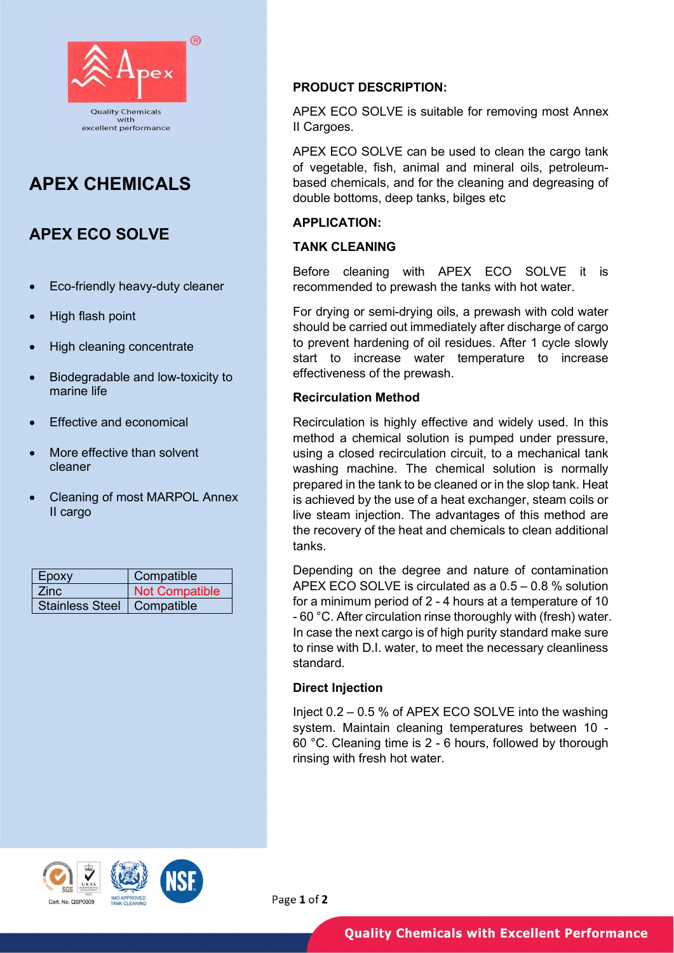

# APEX CHEMICALS

## APEX ECO SOLVE

- Eco-friendly heavy-duty cleaner
- High flash point
- High cleaning concentrate
- Biodegradable and low-toxicity to marine life
- Effective and economical
- More effective than solvent cleaner
- Cleaning of most MARPOL Annex II cargo

| Epoxy                        | Compatible            |
|------------------------------|-----------------------|
| Zinc.                        | <b>Not Compatible</b> |
| Stainless Steel   Compatible |                       |

## PRODUCT DESCRIPTION:

APEX ECO SOLVE is suitable for removing most Annex II Cargoes.

APEX ECO SOLVE can be used to clean the cargo tank of vegetable, fish, animal and mineral oils, petroleumbased chemicals, and for the cleaning and degreasing of double bottoms, deep tanks, bilges etc

## APPLICATION:

## TANK CLEANING

Before cleaning with APEX ECO SOLVE it is recommended to prewash the tanks with hot water.

For drying or semi-drying oils, a prewash with cold water should be carried out immediately after discharge of cargo to prevent hardening of oil residues. After 1 cycle slowly start to increase water temperature to increase effectiveness of the prewash.

## Recirculation Method

Recirculation is highly effective and widely used. In this method a chemical solution is pumped under pressure, using a closed recirculation circuit, to a mechanical tank washing machine. The chemical solution is normally prepared in the tank to be cleaned or in the slop tank. Heat is achieved by the use of a heat exchanger, steam coils or live steam injection. The advantages of this method are the recovery of the heat and chemicals to clean additional tanks.

Depending on the degree and nature of contamination APEX ECO SOLVE is circulated as a 0.5 – 0.8 % solution for a minimum period of 2 - 4 hours at a temperature of 10 - 60 °C. After circulation rinse thoroughly with (fresh) water. In case the next cargo is of high purity standard make sure to rinse with D.I. water, to meet the necessary cleanliness standard.

## Direct Injection

Inject 0.2 – 0.5 % of APEX ECO SOLVE into the washing system. Maintain cleaning temperatures between 10 - 60 °C. Cleaning time is 2 - 6 hours, followed by thorough rinsing with fresh hot water.